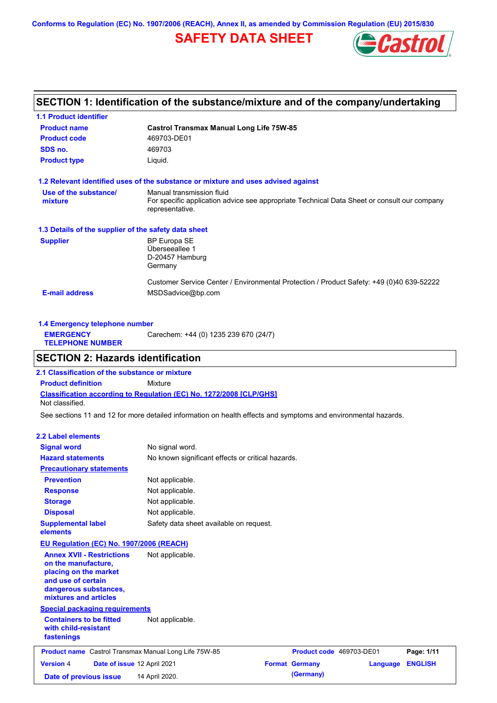**Conforms to Regulation (EC) No. 1907/2006 (REACH), Annex II, as amended by Commission Regulation (EU) 2015/830**

# **SAFETY DATA SHEET**



# **SECTION 1: Identification of the substance/mixture and of the company/undertaking**

| <b>1.1 Product identifier</b>                        |                                                                                                                |
|------------------------------------------------------|----------------------------------------------------------------------------------------------------------------|
| <b>Product name</b>                                  | <b>Castrol Transmax Manual Long Life 75W-85</b>                                                                |
| <b>Product code</b>                                  | 469703-DE01                                                                                                    |
| SDS no.                                              | 469703                                                                                                         |
| <b>Product type</b>                                  | Liquid.                                                                                                        |
|                                                      | 1.2 Relevant identified uses of the substance or mixture and uses advised against                              |
| Use of the substance/                                | Manual transmission fluid                                                                                      |
| mixture                                              | For specific application advice see appropriate Technical Data Sheet or consult our company<br>representative. |
| 1.3 Details of the supplier of the safety data sheet |                                                                                                                |
| <b>Supplier</b>                                      | BP Europa SE                                                                                                   |
|                                                      | Überseeallee 1                                                                                                 |
|                                                      | D-20457 Hamburg                                                                                                |
|                                                      | Germany                                                                                                        |
|                                                      | Customer Service Center / Environmental Protection / Product Safety: +49 (0)40 639-52222                       |
| <b>E-mail address</b>                                | MSDSadvice@bp.com                                                                                              |
|                                                      |                                                                                                                |

| 1.4 Emergency telephone number              |                                       |  |
|---------------------------------------------|---------------------------------------|--|
| <b>EMERGENCY</b><br><b>TELEPHONE NUMBER</b> | Carechem: +44 (0) 1235 239 670 (24/7) |  |

# **SECTION 2: Hazards identification**

**Classification according to Regulation (EC) No. 1272/2008 [CLP/GHS] 2.1 Classification of the substance or mixture Product definition** Mixture Not classified.

See sections 11 and 12 for more detailed information on health effects and symptoms and environmental hazards.

### **2.2 Label elements**

| No signal word.                                              |                                         |                                                   |                |
|--------------------------------------------------------------|-----------------------------------------|---------------------------------------------------|----------------|
|                                                              |                                         |                                                   |                |
|                                                              |                                         |                                                   |                |
| Not applicable.                                              |                                         |                                                   |                |
| Not applicable.                                              |                                         |                                                   |                |
| Not applicable.                                              |                                         |                                                   |                |
| Not applicable.                                              |                                         |                                                   |                |
|                                                              |                                         |                                                   |                |
| EU Regulation (EC) No. 1907/2006 (REACH)                     |                                         |                                                   |                |
| Not applicable.                                              |                                         |                                                   |                |
| <b>Special packaging requirements</b>                        |                                         |                                                   |                |
| Not applicable.                                              |                                         |                                                   |                |
| <b>Product name</b> Castrol Transmax Manual Long Life 75W-85 | Product code 469703-DE01                |                                                   | Page: 1/11     |
|                                                              |                                         |                                                   |                |
| Date of issue 12 April 2021                                  | <b>Format Germany</b>                   | Language                                          | <b>ENGLISH</b> |
|                                                              | Safety data sheet available on request. | No known significant effects or critical hazards. |                |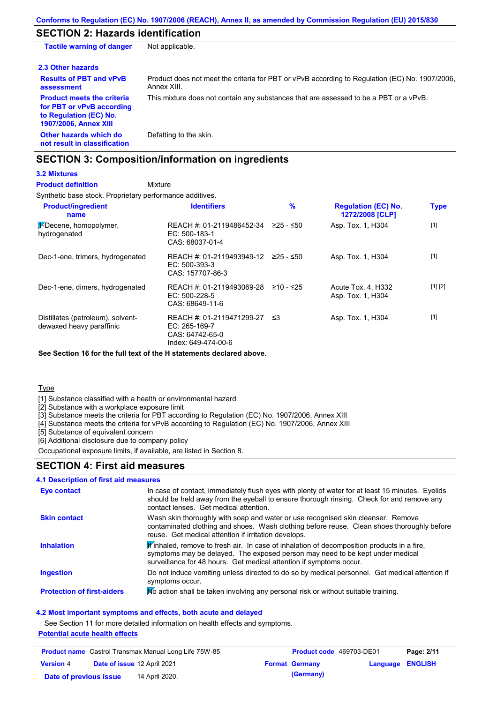## **SECTION 2: Hazards identification**

| <b>Tactile warning of danger</b>                                                                                         | Not applicable.                                                                                               |
|--------------------------------------------------------------------------------------------------------------------------|---------------------------------------------------------------------------------------------------------------|
| 2.3 Other hazards                                                                                                        |                                                                                                               |
| <b>Results of PBT and vPvB</b><br>assessment                                                                             | Product does not meet the criteria for PBT or vPvB according to Regulation (EC) No. 1907/2006.<br>Annex XIII. |
| <b>Product meets the criteria</b><br>for PBT or vPvB according<br>to Regulation (EC) No.<br><b>1907/2006, Annex XIII</b> | This mixture does not contain any substances that are assessed to be a PBT or a vPvB.                         |
| Other hazards which do<br>not result in classification                                                                   | Defatting to the skin.                                                                                        |

# **SECTION 3: Composition/information on ingredients**

## **3.2 Mixtures**

Mixture **Product definition**

Synthetic base stock. Proprietary performance additives.

| <b>Product/ingredient</b><br>name                             | <b>Identifiers</b>                                                                   | $\%$        | <b>Regulation (EC) No.</b><br>1272/2008 [CLP] | <b>Type</b> |
|---------------------------------------------------------------|--------------------------------------------------------------------------------------|-------------|-----------------------------------------------|-------------|
| $\frac{1}{2}$ -Decene, homopolymer,<br>hydrogenated           | REACH #: 01-2119486452-34<br>$EC: 500-183-1$<br>CAS: 68037-01-4                      | 225 - ≤50   | Asp. Tox. 1, H304                             | $[1]$       |
| Dec-1-ene, trimers, hydrogenated                              | REACH #: 01-2119493949-12<br>$EC: 500-393-3$<br>CAS: 157707-86-3                     | 225 - ≤50   | Asp. Tox. 1, H304                             | $[1]$       |
| Dec-1-ene, dimers, hydrogenated                               | REACH #: 01-2119493069-28<br>$EC: 500-228-5$<br>CAS: 68649-11-6                      | $≥10 - ≤25$ | Acute Tox. 4, H332<br>Asp. Tox. 1, H304       | [1] [2]     |
| Distillates (petroleum), solvent-<br>dewaxed heavy paraffinic | REACH #: 01-2119471299-27<br>EC: 265-169-7<br>CAS: 64742-65-0<br>Index: 649-474-00-6 | ב≥          | Asp. Tox. 1, H304                             | $[1]$       |

**See Section 16 for the full text of the H statements declared above.**

**Type** 

[1] Substance classified with a health or environmental hazard

[2] Substance with a workplace exposure limit

[3] Substance meets the criteria for PBT according to Regulation (EC) No. 1907/2006, Annex XIII

[4] Substance meets the criteria for vPvB according to Regulation (EC) No. 1907/2006, Annex XIII

[5] Substance of equivalent concern

[6] Additional disclosure due to company policy

Occupational exposure limits, if available, are listed in Section 8.

# **SECTION 4: First aid measures**

#### Do not induce vomiting unless directed to do so by medical personnel. Get medical attention if symptoms occur. In case of contact, immediately flush eyes with plenty of water for at least 15 minutes. Eyelids should be held away from the eyeball to ensure thorough rinsing. Check for and remove any contact lenses. Get medical attention. **4.1 Description of first aid measures**  $\mathbf F$  inhaled, remove to fresh air. In case of inhalation of decomposition products in a fire, symptoms may be delayed. The exposed person may need to be kept under medical surveillance for 48 hours. Get medical attention if symptoms occur. **Ingestion Inhalation Eye contact Protection of first-aiders** Mo action shall be taken involving any personal risk or without suitable training. **Skin contact** Wash skin thoroughly with soap and water or use recognised skin cleanser. Remove contaminated clothing and shoes. Wash clothing before reuse. Clean shoes thoroughly before reuse. Get medical attention if irritation develops.

### **4.2 Most important symptoms and effects, both acute and delayed**

See Section 11 for more detailed information on health effects and symptoms.

### **Potential acute health effects**

| <b>Product name</b> Castrol Transmax Manual Long Life 75W-85 |  | Product code 469703-DE01           |  | Page: 2/11            |                         |  |
|--------------------------------------------------------------|--|------------------------------------|--|-----------------------|-------------------------|--|
| <b>Version 4</b>                                             |  | <b>Date of issue 12 April 2021</b> |  | <b>Format Germany</b> | <b>Language ENGLISH</b> |  |
| Date of previous issue                                       |  | 14 April 2020.                     |  | (Germany)             |                         |  |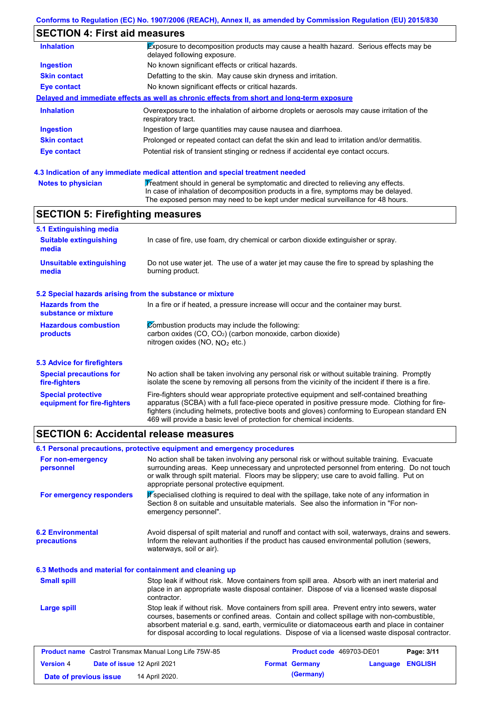# **SECTION 4: First aid measures**

| <b>Inhalation</b>   | Exposure to decomposition products may cause a health hazard. Serious effects may be<br>delayed following exposure. |
|---------------------|---------------------------------------------------------------------------------------------------------------------|
| <b>Ingestion</b>    | No known significant effects or critical hazards.                                                                   |
| <b>Skin contact</b> | Defatting to the skin. May cause skin dryness and irritation.                                                       |
| <b>Eye contact</b>  | No known significant effects or critical hazards.                                                                   |
|                     | Delayed and immediate effects as well as chronic effects from short and long-term exposure                          |
| <b>Inhalation</b>   | Overexposure to the inhalation of airborne droplets or aerosols may cause irritation of the<br>respiratory tract.   |
| <b>Ingestion</b>    | Ingestion of large quantities may cause nausea and diarrhoea.                                                       |
| <b>Skin contact</b> | Prolonged or repeated contact can defat the skin and lead to irritation and/or dermatitis.                          |
| Eye contact         | Potential risk of transient stinging or redness if accidental eye contact occurs.                                   |
|                     |                                                                                                                     |

### **4.3 Indication of any immediate medical attention and special treatment needed**

| <b>Notes to physician</b> | Treatment should in general be symptomatic and directed to relieving any effects.   |
|---------------------------|-------------------------------------------------------------------------------------|
|                           | In case of inhalation of decomposition products in a fire, symptoms may be delayed. |
|                           | The exposed person may need to be kept under medical surveillance for 48 hours.     |

# **SECTION 5: Firefighting measures**

| 5.1 Extinguishing media                                                                                                                                                                                                                                                                                                                                                                                                       |                                                                                                                                                                                                |  |  |
|-------------------------------------------------------------------------------------------------------------------------------------------------------------------------------------------------------------------------------------------------------------------------------------------------------------------------------------------------------------------------------------------------------------------------------|------------------------------------------------------------------------------------------------------------------------------------------------------------------------------------------------|--|--|
| <b>Suitable extinguishing</b><br>media                                                                                                                                                                                                                                                                                                                                                                                        | In case of fire, use foam, dry chemical or carbon dioxide extinguisher or spray.                                                                                                               |  |  |
| <b>Unsuitable extinguishing</b><br>media                                                                                                                                                                                                                                                                                                                                                                                      | Do not use water jet. The use of a water jet may cause the fire to spread by splashing the<br>burning product.                                                                                 |  |  |
| 5.2 Special hazards arising from the substance or mixture                                                                                                                                                                                                                                                                                                                                                                     |                                                                                                                                                                                                |  |  |
| <b>Hazards from the</b><br>In a fire or if heated, a pressure increase will occur and the container may burst.<br>substance or mixture                                                                                                                                                                                                                                                                                        |                                                                                                                                                                                                |  |  |
| Combustion products may include the following:<br><b>Hazardous combustion</b><br>carbon oxides (CO, CO <sub>2</sub> ) (carbon monoxide, carbon dioxide)<br>products<br>nitrogen oxides (NO, $NO2$ etc.)                                                                                                                                                                                                                       |                                                                                                                                                                                                |  |  |
| 5.3 Advice for firefighters                                                                                                                                                                                                                                                                                                                                                                                                   |                                                                                                                                                                                                |  |  |
| <b>Special precautions for</b><br>fire-fighters                                                                                                                                                                                                                                                                                                                                                                               | No action shall be taken involving any personal risk or without suitable training. Promptly<br>isolate the scene by removing all persons from the vicinity of the incident if there is a fire. |  |  |
| <b>Special protective</b><br>Fire-fighters should wear appropriate protective equipment and self-contained breathing<br>apparatus (SCBA) with a full face-piece operated in positive pressure mode. Clothing for fire-<br>equipment for fire-fighters<br>fighters (including helmets, protective boots and gloves) conforming to European standard EN<br>469 will provide a basic level of protection for chemical incidents. |                                                                                                                                                                                                |  |  |

### **SECTION 6: Accidental release measures**

|                                                              | 6.1 Personal precautions, protective equipment and emergency procedures |                                                                                                                                                                                                                                                                                                                                                                                                |          |                |
|--------------------------------------------------------------|-------------------------------------------------------------------------|------------------------------------------------------------------------------------------------------------------------------------------------------------------------------------------------------------------------------------------------------------------------------------------------------------------------------------------------------------------------------------------------|----------|----------------|
| For non-emergency<br>personnel                               | appropriate personal protective equipment.                              | No action shall be taken involving any personal risk or without suitable training. Evacuate<br>surrounding areas. Keep unnecessary and unprotected personnel from entering. Do not touch<br>or walk through spilt material. Floors may be slippery; use care to avoid falling. Put on                                                                                                          |          |                |
| For emergency responders                                     | emergency personnel".                                                   | K specialised clothing is required to deal with the spillage, take note of any information in<br>Section 8 on suitable and unsuitable materials. See also the information in "For non-                                                                                                                                                                                                         |          |                |
| <b>6.2 Environmental</b><br>precautions                      | waterways, soil or air).                                                | Avoid dispersal of spilt material and runoff and contact with soil, waterways, drains and sewers.<br>Inform the relevant authorities if the product has caused environmental pollution (sewers,                                                                                                                                                                                                |          |                |
| 6.3 Methods and material for containment and cleaning up     |                                                                         |                                                                                                                                                                                                                                                                                                                                                                                                |          |                |
| <b>Small spill</b>                                           | contractor.                                                             | Stop leak if without risk. Move containers from spill area. Absorb with an inert material and<br>place in an appropriate waste disposal container. Dispose of via a licensed waste disposal                                                                                                                                                                                                    |          |                |
| Large spill                                                  |                                                                         | Stop leak if without risk. Move containers from spill area. Prevent entry into sewers, water<br>courses, basements or confined areas. Contain and collect spillage with non-combustible,<br>absorbent material e.g. sand, earth, vermiculite or diatomaceous earth and place in container<br>for disposal according to local regulations. Dispose of via a licensed waste disposal contractor. |          |                |
| <b>Product name</b> Castrol Transmax Manual Long Life 75W-85 |                                                                         | Product code 469703-DE01                                                                                                                                                                                                                                                                                                                                                                       |          | Page: 3/11     |
| <b>Version 4</b><br>Date of issue 12 April 2021              |                                                                         | <b>Format Germany</b>                                                                                                                                                                                                                                                                                                                                                                          | Language | <b>ENGLISH</b> |

**Date of previous issue 14 April 2020. (Germany) (Germany)**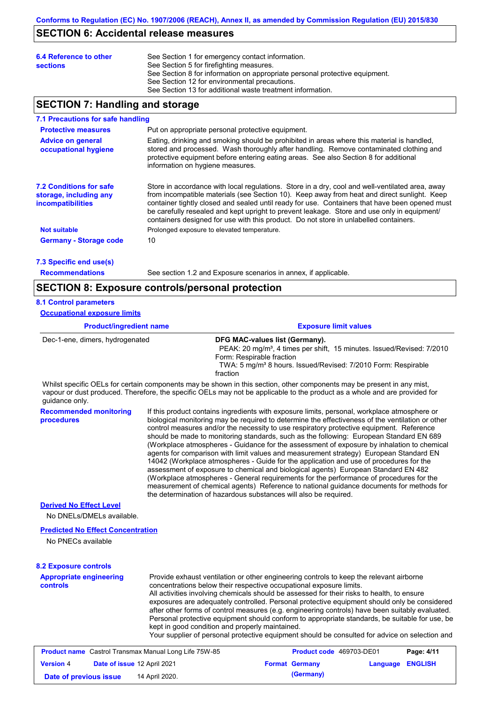## **SECTION 6: Accidental release measures**

| See Section 1 for emergency contact information.<br>See Section 5 for firefighting measures.<br>See Section 8 for information on appropriate personal protective equipment.<br>See Section 12 for environmental precautions. |
|------------------------------------------------------------------------------------------------------------------------------------------------------------------------------------------------------------------------------|
| See Section 13 for additional waste treatment information.                                                                                                                                                                   |
|                                                                                                                                                                                                                              |

## **SECTION 7: Handling and storage**

### **7.1 Precautions for safe handling**

| Put on appropriate personal protective equipment.                                                                                                                                                                                                                                                                                                                                                                                                                                       |
|-----------------------------------------------------------------------------------------------------------------------------------------------------------------------------------------------------------------------------------------------------------------------------------------------------------------------------------------------------------------------------------------------------------------------------------------------------------------------------------------|
| Eating, drinking and smoking should be prohibited in areas where this material is handled,<br>stored and processed. Wash thoroughly after handling. Remove contaminated clothing and<br>protective equipment before entering eating areas. See also Section 8 for additional<br>information on hygiene measures.                                                                                                                                                                        |
| Store in accordance with local regulations. Store in a dry, cool and well-ventilated area, away<br>from incompatible materials (see Section 10). Keep away from heat and direct sunlight. Keep<br>container tightly closed and sealed until ready for use. Containers that have been opened must<br>be carefully resealed and kept upright to prevent leakage. Store and use only in equipment<br>containers designed for use with this product. Do not store in unlabelled containers. |
| Prolonged exposure to elevated temperature.                                                                                                                                                                                                                                                                                                                                                                                                                                             |
| 10                                                                                                                                                                                                                                                                                                                                                                                                                                                                                      |
|                                                                                                                                                                                                                                                                                                                                                                                                                                                                                         |

**7.3 Specific end use(s)**

**Recommendations**

See section 1.2 and Exposure scenarios in annex, if applicable.

### **SECTION 8: Exposure controls/personal protection**

#### **8.1 Control parameters**

**Occupational exposure limits**

### **Product/ingredient name Exposure limit values**

Dec-1-ene, dimers, hydrogenated **DFG MAC-values list (Germany).** PEAK: 20 mg/m<sup>3</sup>, 4 times per shift, 15 minutes. Issued/Revised: 7/2010 Form: Respirable fraction TWA: 5 mg/m<sup>3</sup> 8 hours. Issued/Revised: 7/2010 Form: Respirable fraction

Whilst specific OELs for certain components may be shown in this section, other components may be present in any mist, vapour or dust produced. Therefore, the specific OELs may not be applicable to the product as a whole and are provided for guidance only.

**Recommended monitoring procedures** If this product contains ingredients with exposure limits, personal, workplace atmosphere or biological monitoring may be required to determine the effectiveness of the ventilation or other control measures and/or the necessity to use respiratory protective equipment. Reference should be made to monitoring standards, such as the following: European Standard EN 689 (Workplace atmospheres - Guidance for the assessment of exposure by inhalation to chemical agents for comparison with limit values and measurement strategy) European Standard EN 14042 (Workplace atmospheres - Guide for the application and use of procedures for the assessment of exposure to chemical and biological agents) European Standard EN 482 (Workplace atmospheres - General requirements for the performance of procedures for the measurement of chemical agents) Reference to national guidance documents for methods for the determination of hazardous substances will also be required.

### **Derived No Effect Level**

No DNELs/DMELs available.

### **Predicted No Effect Concentration**

No PNECs available

#### **8.2 Exposure controls**

| <b>Appropriate engineering</b> | Provide exhaust ventilation or other engineering controls to keep the relevant airborne                          |
|--------------------------------|------------------------------------------------------------------------------------------------------------------|
| <b>controls</b>                | concentrations below their respective occupational exposure limits.                                              |
|                                | All activities involving chemicals should be assessed for their risks to health, to ensure                       |
|                                | exposures are adequately controlled. Personal protective equipment should only be considered                     |
|                                | after other forms of control measures (e.g. engineering controls) have been suitably evaluated.                  |
|                                | Personal protective equipment should conform to appropriate standards, be suitable for use, be                   |
|                                | kept in good condition and properly maintained.                                                                  |
|                                | Victor concelled of a case of legal selfone and the state benefit between the fifted and december of selfont and |

Your supplier of personal protective equipment should be consulted for advice on selection and

| <b>Product name</b> Castrol Transmax Manual Long Life 75W-85 |  |                             | <b>Product code</b> 469703-DE01 | Page: 4/11            |                         |  |
|--------------------------------------------------------------|--|-----------------------------|---------------------------------|-----------------------|-------------------------|--|
| <b>Version 4</b>                                             |  | Date of issue 12 April 2021 |                                 | <b>Format Germany</b> | <b>Language ENGLISH</b> |  |
| Date of previous issue                                       |  | 14 April 2020.              |                                 | (Germany)             |                         |  |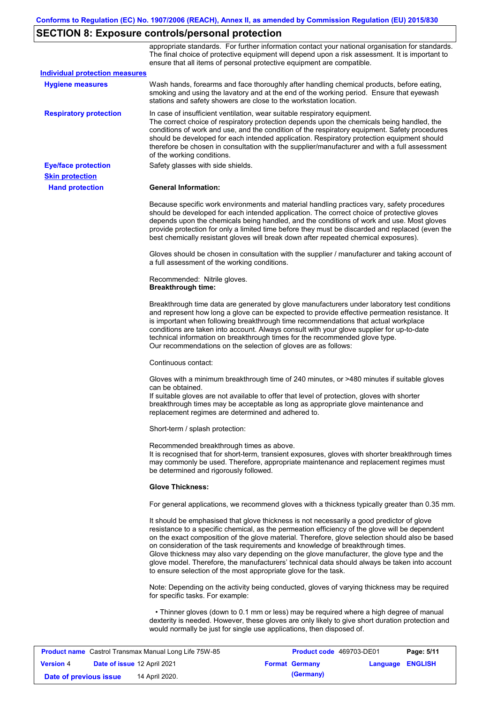# **SECTION 8: Exposure controls/personal protection**

|                                       | appropriate standards. For further information contact your national organisation for standards.<br>The final choice of protective equipment will depend upon a risk assessment. It is important to<br>ensure that all items of personal protective equipment are compatible.                                                                                                                                                                                                                                                                                                                                                                     |
|---------------------------------------|---------------------------------------------------------------------------------------------------------------------------------------------------------------------------------------------------------------------------------------------------------------------------------------------------------------------------------------------------------------------------------------------------------------------------------------------------------------------------------------------------------------------------------------------------------------------------------------------------------------------------------------------------|
| <b>Individual protection measures</b> |                                                                                                                                                                                                                                                                                                                                                                                                                                                                                                                                                                                                                                                   |
| <b>Hygiene measures</b>               | Wash hands, forearms and face thoroughly after handling chemical products, before eating,<br>smoking and using the lavatory and at the end of the working period. Ensure that eyewash<br>stations and safety showers are close to the workstation location.                                                                                                                                                                                                                                                                                                                                                                                       |
| <b>Respiratory protection</b>         | In case of insufficient ventilation, wear suitable respiratory equipment.<br>The correct choice of respiratory protection depends upon the chemicals being handled, the<br>conditions of work and use, and the condition of the respiratory equipment. Safety procedures<br>should be developed for each intended application. Respiratory protection equipment should<br>therefore be chosen in consultation with the supplier/manufacturer and with a full assessment<br>of the working conditions.                                                                                                                                             |
| <b>Eye/face protection</b>            | Safety glasses with side shields.                                                                                                                                                                                                                                                                                                                                                                                                                                                                                                                                                                                                                 |
| <b>Skin protection</b>                |                                                                                                                                                                                                                                                                                                                                                                                                                                                                                                                                                                                                                                                   |
| <b>Hand protection</b>                | <b>General Information:</b>                                                                                                                                                                                                                                                                                                                                                                                                                                                                                                                                                                                                                       |
|                                       | Because specific work environments and material handling practices vary, safety procedures<br>should be developed for each intended application. The correct choice of protective gloves<br>depends upon the chemicals being handled, and the conditions of work and use. Most gloves<br>provide protection for only a limited time before they must be discarded and replaced (even the<br>best chemically resistant gloves will break down after repeated chemical exposures).                                                                                                                                                                  |
|                                       | Gloves should be chosen in consultation with the supplier / manufacturer and taking account of<br>a full assessment of the working conditions.                                                                                                                                                                                                                                                                                                                                                                                                                                                                                                    |
|                                       | Recommended: Nitrile gloves.<br><b>Breakthrough time:</b>                                                                                                                                                                                                                                                                                                                                                                                                                                                                                                                                                                                         |
|                                       | Breakthrough time data are generated by glove manufacturers under laboratory test conditions<br>and represent how long a glove can be expected to provide effective permeation resistance. It<br>is important when following breakthrough time recommendations that actual workplace<br>conditions are taken into account. Always consult with your glove supplier for up-to-date<br>technical information on breakthrough times for the recommended glove type.<br>Our recommendations on the selection of gloves are as follows:                                                                                                                |
|                                       | Continuous contact:                                                                                                                                                                                                                                                                                                                                                                                                                                                                                                                                                                                                                               |
|                                       | Gloves with a minimum breakthrough time of 240 minutes, or >480 minutes if suitable gloves<br>can be obtained.<br>If suitable gloves are not available to offer that level of protection, gloves with shorter<br>breakthrough times may be acceptable as long as appropriate glove maintenance and<br>replacement regimes are determined and adhered to.                                                                                                                                                                                                                                                                                          |
|                                       | Short-term / splash protection:                                                                                                                                                                                                                                                                                                                                                                                                                                                                                                                                                                                                                   |
|                                       | Recommended breakthrough times as above.<br>It is recognised that for short-term, transient exposures, gloves with shorter breakthrough times<br>may commonly be used. Therefore, appropriate maintenance and replacement regimes must<br>be determined and rigorously followed.                                                                                                                                                                                                                                                                                                                                                                  |
|                                       | <b>Glove Thickness:</b>                                                                                                                                                                                                                                                                                                                                                                                                                                                                                                                                                                                                                           |
|                                       | For general applications, we recommend gloves with a thickness typically greater than 0.35 mm.                                                                                                                                                                                                                                                                                                                                                                                                                                                                                                                                                    |
|                                       | It should be emphasised that glove thickness is not necessarily a good predictor of glove<br>resistance to a specific chemical, as the permeation efficiency of the glove will be dependent<br>on the exact composition of the glove material. Therefore, glove selection should also be based<br>on consideration of the task requirements and knowledge of breakthrough times.<br>Glove thickness may also vary depending on the glove manufacturer, the glove type and the<br>glove model. Therefore, the manufacturers' technical data should always be taken into account<br>to ensure selection of the most appropriate glove for the task. |
|                                       | Note: Depending on the activity being conducted, gloves of varying thickness may be required<br>for specific tasks. For example:                                                                                                                                                                                                                                                                                                                                                                                                                                                                                                                  |
|                                       | • Thinner gloves (down to 0.1 mm or less) may be required where a high degree of manual<br>dexterity is needed. However, these gloves are only likely to give short duration protection and<br>would normally be just for single use applications, then disposed of.                                                                                                                                                                                                                                                                                                                                                                              |
|                                       |                                                                                                                                                                                                                                                                                                                                                                                                                                                                                                                                                                                                                                                   |

| <b>Product name</b> Castrol Transmax Manual Long Life 75W-85 |  |                             | <b>Product code</b> 469703-DE01 |                       | Page: 5/11              |  |
|--------------------------------------------------------------|--|-----------------------------|---------------------------------|-----------------------|-------------------------|--|
| <b>Version 4</b>                                             |  | Date of issue 12 April 2021 |                                 | <b>Format Germany</b> | <b>Language ENGLISH</b> |  |
| Date of previous issue                                       |  | 14 April 2020.              |                                 | (Germany)             |                         |  |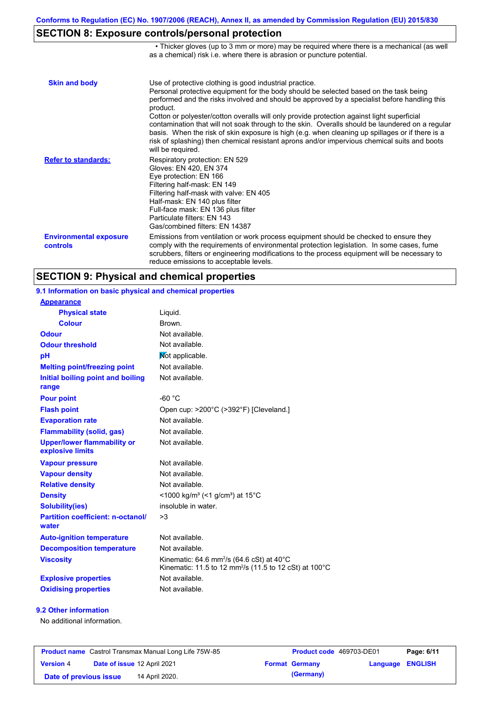• Thicker gloves (up to 3 mm or more) may be required where there is a mechanical (as well

# **SECTION 8: Exposure controls/personal protection**

|                                           | as a chemical) risk i.e. where there is abrasion or puncture potential.                                                                                                                                                                                                                                                                                                                                                                                                                                                                                                                                                                                                               |
|-------------------------------------------|---------------------------------------------------------------------------------------------------------------------------------------------------------------------------------------------------------------------------------------------------------------------------------------------------------------------------------------------------------------------------------------------------------------------------------------------------------------------------------------------------------------------------------------------------------------------------------------------------------------------------------------------------------------------------------------|
| <b>Skin and body</b>                      | Use of protective clothing is good industrial practice.<br>Personal protective equipment for the body should be selected based on the task being<br>performed and the risks involved and should be approved by a specialist before handling this<br>product.<br>Cotton or polyester/cotton overalls will only provide protection against light superficial<br>contamination that will not soak through to the skin. Overalls should be laundered on a regular<br>basis. When the risk of skin exposure is high (e.g. when cleaning up spillages or if there is a<br>risk of splashing) then chemical resistant aprons and/or impervious chemical suits and boots<br>will be required. |
| <b>Refer to standards:</b>                | Respiratory protection: EN 529<br>Gloves: EN 420, EN 374<br>Eye protection: EN 166<br>Filtering half-mask: EN 149<br>Filtering half-mask with valve: EN 405<br>Half-mask: EN 140 plus filter<br>Full-face mask: EN 136 plus filter<br>Particulate filters: EN 143<br>Gas/combined filters: EN 14387                                                                                                                                                                                                                                                                                                                                                                                   |
| <b>Environmental exposure</b><br>controls | Emissions from ventilation or work process equipment should be checked to ensure they<br>comply with the requirements of environmental protection legislation. In some cases, fume<br>scrubbers, filters or engineering modifications to the process equipment will be necessary to<br>reduce emissions to acceptable levels.                                                                                                                                                                                                                                                                                                                                                         |

# **SECTION 9: Physical and chemical properties**

| 9.1 Information on basic physical and chemical properties |                                                                                                                                        |
|-----------------------------------------------------------|----------------------------------------------------------------------------------------------------------------------------------------|
| <b>Appearance</b>                                         |                                                                                                                                        |
| <b>Physical state</b>                                     | Liquid.                                                                                                                                |
| <b>Colour</b>                                             | Brown.                                                                                                                                 |
| <b>Odour</b>                                              | Not available.                                                                                                                         |
| <b>Odour threshold</b>                                    | Not available.                                                                                                                         |
| pH                                                        | Not applicable.                                                                                                                        |
| <b>Melting point/freezing point</b>                       | Not available.                                                                                                                         |
| Initial boiling point and boiling<br>range                | Not available.                                                                                                                         |
| <b>Pour point</b>                                         | $-60 °C$                                                                                                                               |
| <b>Flash point</b>                                        | Open cup: >200°C (>392°F) [Cleveland.]                                                                                                 |
| <b>Evaporation rate</b>                                   | Not available.                                                                                                                         |
| <b>Flammability (solid, gas)</b>                          | Not available.                                                                                                                         |
| <b>Upper/lower flammability or</b><br>explosive limits    | Not available.                                                                                                                         |
| <b>Vapour pressure</b>                                    | Not available.                                                                                                                         |
| <b>Vapour density</b>                                     | Not available.                                                                                                                         |
| <b>Relative density</b>                                   | Not available.                                                                                                                         |
| <b>Density</b>                                            | <1000 kg/m <sup>3</sup> (<1 g/cm <sup>3</sup> ) at 15 <sup>°</sup> C                                                                   |
| <b>Solubility(ies)</b>                                    | insoluble in water.                                                                                                                    |
| <b>Partition coefficient: n-octanol/</b><br>water         | >3                                                                                                                                     |
| <b>Auto-ignition temperature</b>                          | Not available.                                                                                                                         |
| <b>Decomposition temperature</b>                          | Not available.                                                                                                                         |
| <b>Viscosity</b>                                          | Kinematic: 64.6 mm <sup>2</sup> /s (64.6 cSt) at 40 $^{\circ}$ C<br>Kinematic: 11.5 to 12 mm <sup>2</sup> /s (11.5 to 12 cSt) at 100°C |
| <b>Explosive properties</b>                               | Not available.                                                                                                                         |
| <b>Oxidising properties</b>                               | Not available.                                                                                                                         |

### **9.2 Other information**

No additional information.

| <b>Product name</b> Castrol Transmax Manual Long Life 75W-85 |                             |                | <b>Product code</b> 469703-DE01 |                         | Page: 6/11 |
|--------------------------------------------------------------|-----------------------------|----------------|---------------------------------|-------------------------|------------|
| <b>Version 4</b>                                             | Date of issue 12 April 2021 |                | <b>Format Germany</b>           | <b>Language ENGLISH</b> |            |
| Date of previous issue                                       |                             | 14 April 2020. | (Germany)                       |                         |            |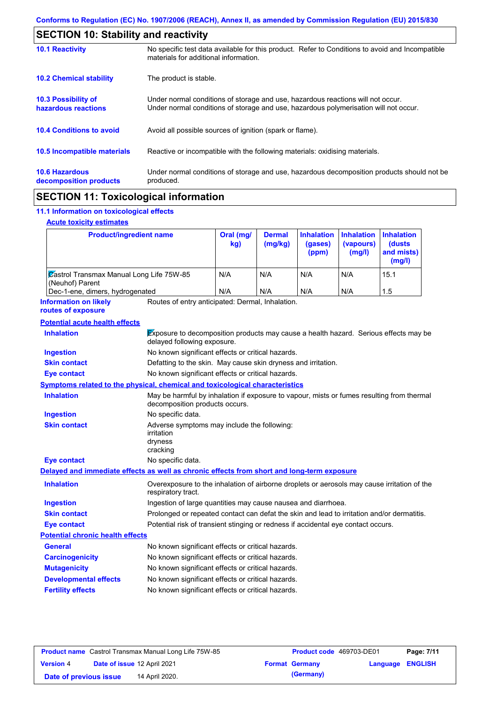|                                                 | <b>SECTION 10: Stability and reactivity</b>                                                                                                                             |  |  |  |
|-------------------------------------------------|-------------------------------------------------------------------------------------------------------------------------------------------------------------------------|--|--|--|
| <b>10.1 Reactivity</b>                          | No specific test data available for this product. Refer to Conditions to avoid and Incompatible<br>materials for additional information.                                |  |  |  |
| <b>10.2 Chemical stability</b>                  | The product is stable.                                                                                                                                                  |  |  |  |
| 10.3 Possibility of<br>hazardous reactions      | Under normal conditions of storage and use, hazardous reactions will not occur.<br>Under normal conditions of storage and use, hazardous polymerisation will not occur. |  |  |  |
| <b>10.4 Conditions to avoid</b>                 | Avoid all possible sources of ignition (spark or flame).                                                                                                                |  |  |  |
| 10.5 Incompatible materials                     | Reactive or incompatible with the following materials: oxidising materials.                                                                                             |  |  |  |
| <b>10.6 Hazardous</b><br>decomposition products | Under normal conditions of storage and use, hazardous decomposition products should not be<br>produced.                                                                 |  |  |  |
|                                                 |                                                                                                                                                                         |  |  |  |

# **SECTION 11: Toxicological information**

### **11.1 Information on toxicological effects**

### **Acute toxicity estimates**

| <b>Product/ingredient name</b>                                     | Oral (mg/<br>kg) | <b>Dermal</b><br>(mg/kg) | <b>Inhalation</b><br>(gases)<br>(ppm) | <b>Inhalation Inhalation</b><br>(vapours)<br>(mg/l) | <b>(dusts)</b><br>and mists)<br>(mg/l) |
|--------------------------------------------------------------------|------------------|--------------------------|---------------------------------------|-----------------------------------------------------|----------------------------------------|
| <b>Zastrol Transmax Manual Long Life 75W-85</b><br>(Neuhof) Parent | N/A              | N/A                      | N/A                                   | N/A                                                 | 15.1                                   |
| Dec-1-ene, dimers, hydrogenated                                    | N/A              | N/A                      | N/A                                   | N/A                                                 | 1.5                                    |

Routes of entry anticipated: Dermal, Inhalation. **Information on likely routes of exposure**

| <b>Potential acute health effects</b>   |                                                                                                                             |  |  |  |
|-----------------------------------------|-----------------------------------------------------------------------------------------------------------------------------|--|--|--|
| <b>Inhalation</b>                       | Exposure to decomposition products may cause a health hazard. Serious effects may be<br>delayed following exposure.         |  |  |  |
| <b>Ingestion</b>                        | No known significant effects or critical hazards.                                                                           |  |  |  |
| <b>Skin contact</b>                     | Defatting to the skin. May cause skin dryness and irritation.                                                               |  |  |  |
| Eye contact                             | No known significant effects or critical hazards.                                                                           |  |  |  |
|                                         | Symptoms related to the physical, chemical and toxicological characteristics                                                |  |  |  |
| <b>Inhalation</b>                       | May be harmful by inhalation if exposure to vapour, mists or fumes resulting from thermal<br>decomposition products occurs. |  |  |  |
| <b>Ingestion</b>                        | No specific data.                                                                                                           |  |  |  |
| <b>Skin contact</b>                     | Adverse symptoms may include the following:<br>irritation<br>dryness<br>cracking                                            |  |  |  |
| <b>Eye contact</b>                      | No specific data.                                                                                                           |  |  |  |
|                                         | Delayed and immediate effects as well as chronic effects from short and long-term exposure                                  |  |  |  |
| <b>Inhalation</b>                       | Overexposure to the inhalation of airborne droplets or aerosols may cause irritation of the<br>respiratory tract.           |  |  |  |
| <b>Ingestion</b>                        | Ingestion of large quantities may cause nausea and diarrhoea.                                                               |  |  |  |
| <b>Skin contact</b>                     | Prolonged or repeated contact can defat the skin and lead to irritation and/or dermatitis.                                  |  |  |  |
| <b>Eye contact</b>                      | Potential risk of transient stinging or redness if accidental eye contact occurs.                                           |  |  |  |
| <b>Potential chronic health effects</b> |                                                                                                                             |  |  |  |
| <b>General</b>                          | No known significant effects or critical hazards.                                                                           |  |  |  |
| <b>Carcinogenicity</b>                  | No known significant effects or critical hazards.                                                                           |  |  |  |
| <b>Mutagenicity</b>                     | No known significant effects or critical hazards.                                                                           |  |  |  |
| <b>Developmental effects</b>            | No known significant effects or critical hazards.                                                                           |  |  |  |
| <b>Fertility effects</b>                | No known significant effects or critical hazards.                                                                           |  |  |  |

| <b>Product name</b> Castrol Transmax Manual Long Life 75W-85 |  |                             | <b>Product code</b> 469703-DE01 | Page: 7/11              |  |
|--------------------------------------------------------------|--|-----------------------------|---------------------------------|-------------------------|--|
| <b>Version 4</b>                                             |  | Date of issue 12 April 2021 | <b>Format Germany</b>           | <b>Language ENGLISH</b> |  |
| Date of previous issue                                       |  | 14 April 2020.              | (Germany)                       |                         |  |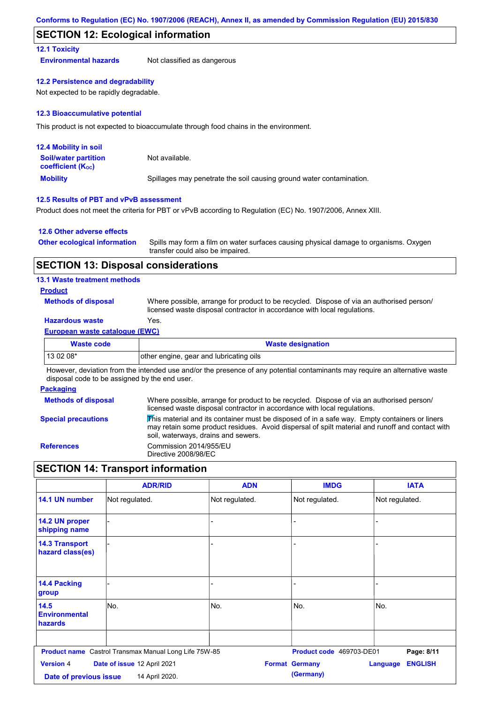### **SECTION 12: Ecological information**

### **12.1 Toxicity**

**Environmental hazards** Not classified as dangerous

### **12.2 Persistence and degradability**

Not expected to be rapidly degradable.

### **12.3 Bioaccumulative potential**

This product is not expected to bioaccumulate through food chains in the environment.

| <b>12.4 Mobility in soil</b>                            |                                                                      |
|---------------------------------------------------------|----------------------------------------------------------------------|
| <b>Soil/water partition</b><br><b>coefficient (Koc)</b> | Not available.                                                       |
| <b>Mobility</b>                                         | Spillages may penetrate the soil causing ground water contamination. |

### **12.5 Results of PBT and vPvB assessment**

Product does not meet the criteria for PBT or vPvB according to Regulation (EC) No. 1907/2006, Annex XIII.

### **12.6 Other adverse effects**

| <b>Other ecological information</b> | Spills may form a film on water surfaces causing physical damage to organisms. Oxygen |
|-------------------------------------|---------------------------------------------------------------------------------------|
|                                     | transfer could also be impaired.                                                      |

### **SECTION 13: Disposal considerations**

### **13.1 Waste treatment methods**

### **Product**

**Methods of disposal**

Where possible, arrange for product to be recycled. Dispose of via an authorised person/ licensed waste disposal contractor in accordance with local regulations.

### **Hazardous waste** Yes.

### **European waste catalogue (EWC)**

| <b>Waste code</b> | <b>Waste designation</b>                |
|-------------------|-----------------------------------------|
| $130208*$         | other engine, gear and lubricating oils |

However, deviation from the intended use and/or the presence of any potential contaminants may require an alternative waste disposal code to be assigned by the end user.

#### **Packaging**

| <b>Methods of disposal</b> | Where possible, arrange for product to be recycled. Dispose of via an authorised person/<br>licensed waste disposal contractor in accordance with local regulations.                                                                                        |
|----------------------------|-------------------------------------------------------------------------------------------------------------------------------------------------------------------------------------------------------------------------------------------------------------|
| <b>Special precautions</b> | $\overline{\text{This}}$ material and its container must be disposed of in a safe way. Empty containers or liners<br>may retain some product residues. Avoid dispersal of spilt material and runoff and contact with<br>soil, waterways, drains and sewers. |
| <b>References</b>          | Commission 2014/955/EU<br>Directive 2008/98/EC                                                                                                                                                                                                              |

# **SECTION 14: Transport information**

|                                            | <b>ADR/RID</b>                                        | <b>ADN</b>     | <b>IMDG</b>                        | <b>IATA</b>                |
|--------------------------------------------|-------------------------------------------------------|----------------|------------------------------------|----------------------------|
| 14.1 UN number                             | Not regulated.                                        | Not regulated. | Not regulated.                     | Not regulated.             |
| 14.2 UN proper<br>shipping name            |                                                       | L.             |                                    |                            |
| <b>14.3 Transport</b><br>hazard class(es)  |                                                       |                |                                    |                            |
| <b>14.4 Packing</b><br>group               |                                                       |                |                                    |                            |
| 14.5<br><b>Environmental</b><br>hazards    | No.                                                   | No.            | No.                                | No.                        |
|                                            | Product name Castrol Transmax Manual Long Life 75W-85 |                | Product code 469703-DE01           | Page: 8/11                 |
| <b>Version 4</b><br>Date of previous issue | Date of issue 12 April 2021<br>14 April 2020.         |                | <b>Format Germany</b><br>(Germany) | <b>ENGLISH</b><br>Language |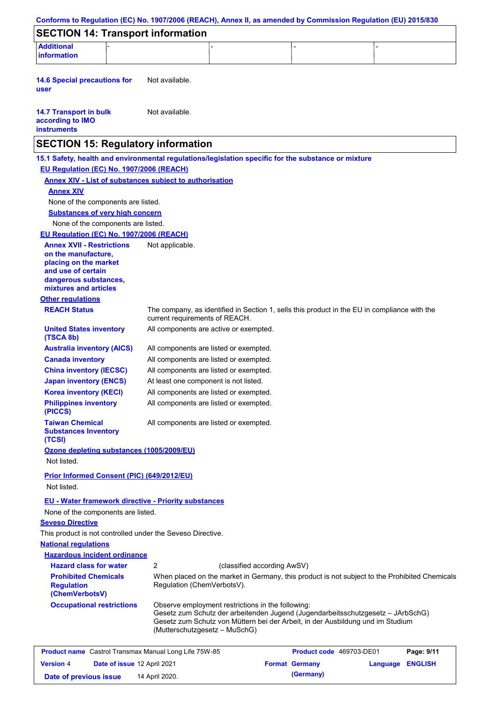| Conforms to Regulation (EC) No. 1907/2006 (REACH), Annex II, as amended by Commission Regulation (EU) 2015/830 |                                                                                    |                                                                                                                                                                   |                 |                |
|----------------------------------------------------------------------------------------------------------------|------------------------------------------------------------------------------------|-------------------------------------------------------------------------------------------------------------------------------------------------------------------|-----------------|----------------|
| <b>SECTION 14: Transport information</b>                                                                       |                                                                                    |                                                                                                                                                                   |                 |                |
| <b>Additional</b><br>information                                                                               |                                                                                    |                                                                                                                                                                   |                 |                |
|                                                                                                                |                                                                                    |                                                                                                                                                                   |                 |                |
| <b>14.6 Special precautions for</b><br>user                                                                    | Not available.                                                                     |                                                                                                                                                                   |                 |                |
| <b>14.7 Transport in bulk</b><br>according to IMO<br><b>instruments</b>                                        | Not available.                                                                     |                                                                                                                                                                   |                 |                |
| <b>SECTION 15: Regulatory information</b>                                                                      |                                                                                    |                                                                                                                                                                   |                 |                |
| 15.1 Safety, health and environmental regulations/legislation specific for the substance or mixture            |                                                                                    |                                                                                                                                                                   |                 |                |
| EU Regulation (EC) No. 1907/2006 (REACH)                                                                       |                                                                                    |                                                                                                                                                                   |                 |                |
| <b>Annex XIV - List of substances subject to authorisation</b>                                                 |                                                                                    |                                                                                                                                                                   |                 |                |
| <b>Annex XIV</b>                                                                                               |                                                                                    |                                                                                                                                                                   |                 |                |
| None of the components are listed.                                                                             |                                                                                    |                                                                                                                                                                   |                 |                |
| <b>Substances of very high concern</b>                                                                         |                                                                                    |                                                                                                                                                                   |                 |                |
| None of the components are listed.                                                                             |                                                                                    |                                                                                                                                                                   |                 |                |
| EU Regulation (EC) No. 1907/2006 (REACH)                                                                       |                                                                                    |                                                                                                                                                                   |                 |                |
| <b>Annex XVII - Restrictions</b>                                                                               | Not applicable.                                                                    |                                                                                                                                                                   |                 |                |
| on the manufacture,<br>placing on the market                                                                   |                                                                                    |                                                                                                                                                                   |                 |                |
| and use of certain                                                                                             |                                                                                    |                                                                                                                                                                   |                 |                |
| dangerous substances,                                                                                          |                                                                                    |                                                                                                                                                                   |                 |                |
| mixtures and articles                                                                                          |                                                                                    |                                                                                                                                                                   |                 |                |
| <b>Other regulations</b>                                                                                       |                                                                                    |                                                                                                                                                                   |                 |                |
| <b>REACH Status</b>                                                                                            | current requirements of REACH.                                                     | The company, as identified in Section 1, sells this product in the EU in compliance with the                                                                      |                 |                |
| <b>United States inventory</b><br>(TSCA 8b)                                                                    | All components are active or exempted.                                             |                                                                                                                                                                   |                 |                |
| <b>Australia inventory (AICS)</b>                                                                              | All components are listed or exempted.                                             |                                                                                                                                                                   |                 |                |
| <b>Canada inventory</b>                                                                                        | All components are listed or exempted.                                             |                                                                                                                                                                   |                 |                |
| <b>China inventory (IECSC)</b>                                                                                 | All components are listed or exempted.                                             |                                                                                                                                                                   |                 |                |
| <b>Japan inventory (ENCS)</b>                                                                                  | At least one component is not listed.                                              |                                                                                                                                                                   |                 |                |
| <b>Korea inventory (KECI)</b>                                                                                  | All components are listed or exempted.                                             |                                                                                                                                                                   |                 |                |
| <b>Philippines inventory</b><br>(PICCS)                                                                        | All components are listed or exempted.                                             |                                                                                                                                                                   |                 |                |
| <b>Taiwan Chemical</b><br><b>Substances Inventory</b><br>(TCSI)                                                | All components are listed or exempted.                                             |                                                                                                                                                                   |                 |                |
| Ozone depleting substances (1005/2009/EU)<br>Not listed.                                                       |                                                                                    |                                                                                                                                                                   |                 |                |
|                                                                                                                |                                                                                    |                                                                                                                                                                   |                 |                |
| Prior Informed Consent (PIC) (649/2012/EU)<br>Not listed.                                                      |                                                                                    |                                                                                                                                                                   |                 |                |
|                                                                                                                |                                                                                    |                                                                                                                                                                   |                 |                |
| <b>EU - Water framework directive - Priority substances</b>                                                    |                                                                                    |                                                                                                                                                                   |                 |                |
| None of the components are listed.                                                                             |                                                                                    |                                                                                                                                                                   |                 |                |
| <b>Seveso Directive</b>                                                                                        |                                                                                    |                                                                                                                                                                   |                 |                |
| This product is not controlled under the Seveso Directive.<br><b>National requlations</b>                      |                                                                                    |                                                                                                                                                                   |                 |                |
| <b>Hazardous incident ordinance</b>                                                                            |                                                                                    |                                                                                                                                                                   |                 |                |
| <b>Hazard class for water</b>                                                                                  | 2                                                                                  | (classified according AwSV)                                                                                                                                       |                 |                |
| <b>Prohibited Chemicals</b>                                                                                    |                                                                                    | When placed on the market in Germany, this product is not subject to the Prohibited Chemicals                                                                     |                 |                |
| <b>Regulation</b><br>(ChemVerbotsV)                                                                            | Regulation (ChemVerbotsV).                                                         |                                                                                                                                                                   |                 |                |
| <b>Occupational restrictions</b>                                                                               | Observe employment restrictions in the following:<br>(Mutterschutzgesetz – MuSchG) | Gesetz zum Schutz der arbeitenden Jugend (Jugendarbeitsschutzgesetz - JArbSchG)<br>Gesetz zum Schutz von Müttern bei der Arbeit, in der Ausbildung und im Studium |                 |                |
|                                                                                                                |                                                                                    |                                                                                                                                                                   |                 |                |
| <b>Product name</b> Castrol Transmax Manual Long Life 75W-85                                                   |                                                                                    | Product code 469703-DE01                                                                                                                                          |                 | Page: 9/11     |
| Date of issue 12 April 2021<br><b>Version 4</b>                                                                |                                                                                    | <b>Format Germany</b>                                                                                                                                             | <b>Language</b> | <b>ENGLISH</b> |

**Date of previous issue 14 April 2020. (Germany) (Germany)**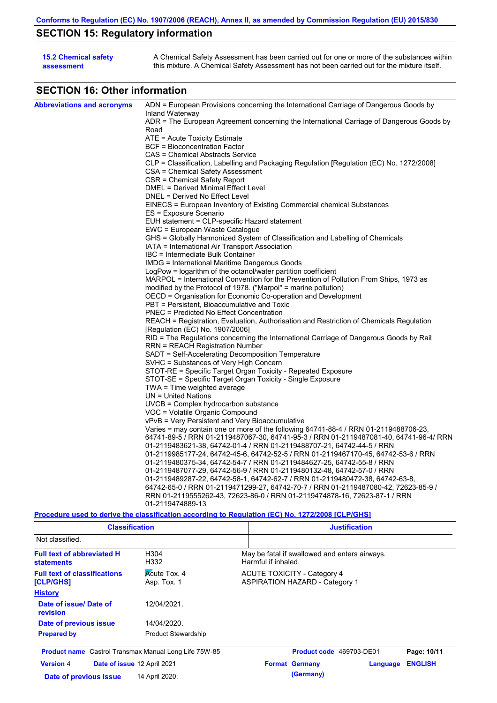# **SECTION 15: Regulatory information**

| <b>15.2 Chemical safety</b> | A Chemical Safety Assessment has been carried out for one or more of the substances within  |
|-----------------------------|---------------------------------------------------------------------------------------------|
| assessment                  | this mixture. A Chemical Safety Assessment has not been carried out for the mixture itself. |

# **SECTION 16: Other information**

| <b>Abbreviations and acronyms</b> | ADN = European Provisions concerning the International Carriage of Dangerous Goods by                       |  |  |  |
|-----------------------------------|-------------------------------------------------------------------------------------------------------------|--|--|--|
|                                   | Inland Waterway<br>ADR = The European Agreement concerning the International Carriage of Dangerous Goods by |  |  |  |
|                                   | Road                                                                                                        |  |  |  |
|                                   | ATE = Acute Toxicity Estimate                                                                               |  |  |  |
|                                   | BCF = Bioconcentration Factor                                                                               |  |  |  |
|                                   | CAS = Chemical Abstracts Service                                                                            |  |  |  |
|                                   | CLP = Classification, Labelling and Packaging Regulation [Regulation (EC) No. 1272/2008]                    |  |  |  |
|                                   | CSA = Chemical Safety Assessment                                                                            |  |  |  |
|                                   | CSR = Chemical Safety Report                                                                                |  |  |  |
|                                   | DMEL = Derived Minimal Effect Level                                                                         |  |  |  |
|                                   | DNEL = Derived No Effect Level                                                                              |  |  |  |
|                                   | EINECS = European Inventory of Existing Commercial chemical Substances                                      |  |  |  |
|                                   | ES = Exposure Scenario                                                                                      |  |  |  |
|                                   | EUH statement = CLP-specific Hazard statement                                                               |  |  |  |
|                                   | EWC = European Waste Catalogue                                                                              |  |  |  |
|                                   | GHS = Globally Harmonized System of Classification and Labelling of Chemicals                               |  |  |  |
|                                   | IATA = International Air Transport Association                                                              |  |  |  |
|                                   | IBC = Intermediate Bulk Container                                                                           |  |  |  |
|                                   | IMDG = International Maritime Dangerous Goods                                                               |  |  |  |
|                                   | LogPow = logarithm of the octanol/water partition coefficient                                               |  |  |  |
|                                   | MARPOL = International Convention for the Prevention of Pollution From Ships, 1973 as                       |  |  |  |
|                                   | modified by the Protocol of 1978. ("Marpol" = marine pollution)                                             |  |  |  |
|                                   | OECD = Organisation for Economic Co-operation and Development                                               |  |  |  |
|                                   | PBT = Persistent, Bioaccumulative and Toxic                                                                 |  |  |  |
|                                   | PNEC = Predicted No Effect Concentration                                                                    |  |  |  |
|                                   | REACH = Registration, Evaluation, Authorisation and Restriction of Chemicals Regulation                     |  |  |  |
|                                   | [Regulation (EC) No. 1907/2006]                                                                             |  |  |  |
|                                   | RID = The Regulations concerning the International Carriage of Dangerous Goods by Rail                      |  |  |  |
|                                   | RRN = REACH Registration Number                                                                             |  |  |  |
|                                   | SADT = Self-Accelerating Decomposition Temperature                                                          |  |  |  |
|                                   | SVHC = Substances of Very High Concern                                                                      |  |  |  |
|                                   | STOT-RE = Specific Target Organ Toxicity - Repeated Exposure                                                |  |  |  |
|                                   | STOT-SE = Specific Target Organ Toxicity - Single Exposure                                                  |  |  |  |
|                                   | TWA = Time weighted average<br>$UN = United Nations$                                                        |  |  |  |
|                                   | $UVCB = Complex\;hydrocarbon\; substance$                                                                   |  |  |  |
|                                   | VOC = Volatile Organic Compound                                                                             |  |  |  |
|                                   | vPvB = Very Persistent and Very Bioaccumulative                                                             |  |  |  |
|                                   | Varies = may contain one or more of the following 64741-88-4 / RRN 01-2119488706-23,                        |  |  |  |
|                                   | 64741-89-5 / RRN 01-2119487067-30, 64741-95-3 / RRN 01-2119487081-40, 64741-96-4/ RRN                       |  |  |  |
|                                   | 01-2119483621-38, 64742-01-4 / RRN 01-2119488707-21, 64742-44-5 / RRN                                       |  |  |  |
|                                   | 01-2119985177-24, 64742-45-6, 64742-52-5 / RRN 01-2119467170-45, 64742-53-6 / RRN                           |  |  |  |
|                                   | 01-2119480375-34, 64742-54-7 / RRN 01-2119484627-25, 64742-55-8 / RRN                                       |  |  |  |
|                                   | 01-2119487077-29, 64742-56-9 / RRN 01-2119480132-48, 64742-57-0 / RRN                                       |  |  |  |
|                                   | 01-2119489287-22, 64742-58-1, 64742-62-7 / RRN 01-2119480472-38, 64742-63-8,                                |  |  |  |
|                                   | 64742-65-0 / RRN 01-2119471299-27, 64742-70-7 / RRN 01-2119487080-42, 72623-85-9 /                          |  |  |  |
|                                   | RRN 01-2119555262-43, 72623-86-0 / RRN 01-2119474878-16, 72623-87-1 / RRN                                   |  |  |  |
|                                   | 01-2119474889-13                                                                                            |  |  |  |
|                                   |                                                                                                             |  |  |  |

### **Procedure used to derive the classification according to Regulation (EC) No. 1272/2008 [CLP/GHS]**

| <b>Classification</b>                                  |                                    | <b>Justification</b>                                                        |  |  |  |
|--------------------------------------------------------|------------------------------------|-----------------------------------------------------------------------------|--|--|--|
| Not classified.                                        |                                    |                                                                             |  |  |  |
| <b>Full text of abbreviated H</b><br><b>statements</b> | H304<br>H332                       | May be fatal if swallowed and enters airways.<br>Harmful if inhaled.        |  |  |  |
| <b>Full text of classifications</b><br>[CLP/GHS]       | <b>Acute Tox. 4</b><br>Asp. Tox. 1 | <b>ACUTE TOXICITY - Category 4</b><br><b>ASPIRATION HAZARD - Category 1</b> |  |  |  |
| <b>History</b>                                         |                                    |                                                                             |  |  |  |
| Date of issue/Date of<br>revision                      | 12/04/2021.                        |                                                                             |  |  |  |
| Date of previous issue                                 | 14/04/2020.                        |                                                                             |  |  |  |
| <b>Prepared by</b>                                     | <b>Product Stewardship</b>         |                                                                             |  |  |  |
| Product name Castrol Transmax Manual Long Life 75W-85  |                                    | Product code 469703-DE01<br>Page: 10/11                                     |  |  |  |
| <b>Version 4</b>                                       | Date of issue 12 April 2021        | <b>ENGLISH</b><br><b>Format Germany</b><br>Language                         |  |  |  |
| Date of previous issue                                 | 14 April 2020.                     | (Germany)                                                                   |  |  |  |